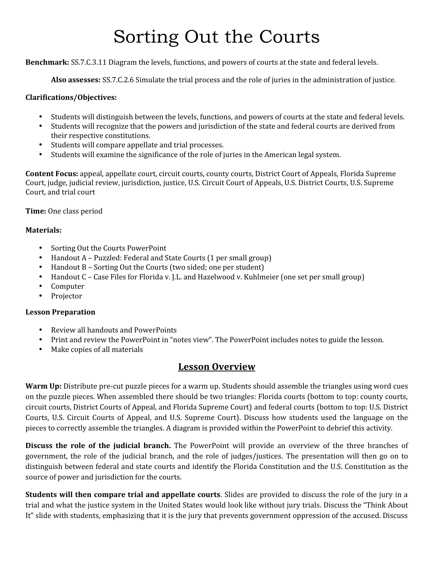# Sorting Out the Courts

**Benchmark:** SS.7.C.3.11 Diagram the levels, functions, and powers of courts at the state and federal levels.

**Also assesses:** SS.7.C.2.6 Simulate the trial process and the role of juries in the administration of justice.

#### **Clarifications/Objectives:**

- 
- Students will distinguish between the levels, functions, and powers of courts at the state and federal levels.<br>Students will recognize that the powers and jurisdiction of the state and federal courts are derived from<br>their
- 
- Students will compare appellate and trial processes. **In the american appellate and trial processes**. **•** Students will examine the significance of the role of juries in the American legal system.

**Content Focus:** appeal, appellate court, circuit courts, county courts, District Court of Appeals, Florida Supreme Court, judge, judicial review, jurisdiction, justice, U.S. Circuit Court of Appeals, U.S. District Courts, U.S. Supreme Court, and trial court

**Time:** One class period

#### **Materials:**

- 
- 
- 
- Sorting Out the Courts PowerPoint<br>• Handout A Puzzled: Federal and State Courts (1 per small group)<br>• Handout B Sorting Out the Courts (two sided; one per student)<br>• Handout C Case Files for Florida v. J.L. and Haz
- 
- 

#### **Lesson Preparation**

- 
- Review all handouts and PowerPoints<br>• Print and review the PowerPoint in "notes view". The PowerPoint includes notes to guide the lesson.<br>• Make copies of all materials
- 

### **Lesson Overview**

**Warm Up:** Distribute pre-cut puzzle pieces for a warm up. Students should assemble the triangles using word cues on the puzzle pieces. When assembled there should be two triangles: Florida courts (bottom to top: county courts, circuit courts, District Courts of Appeal, and Florida Supreme Court) and federal courts (bottom to top: U.S. District Courts, U.S. Circuit Courts of Appeal, and U.S. Supreme Court). Discuss how students used the language on the pieces to correctly assemble the triangles. A diagram is provided within the PowerPoint to debrief this activity.

**Discuss the role of the judicial branch.** The PowerPoint will provide an overview of the three branches of government, the role of the judicial branch, and the role of judges/justices. The presentation will then go on to distinguish between federal and state courts and identify the Florida Constitution and the U.S. Constitution as the source of power and jurisdiction for the courts.

**Students will then compare trial and appellate courts**. Slides are provided to discuss the role of the jury in a trial and what the justice system in the United States would look like without jury trials. Discuss the "Think About It" slide with students, emphasizing that it is the jury that prevents government oppression of the accused. Discuss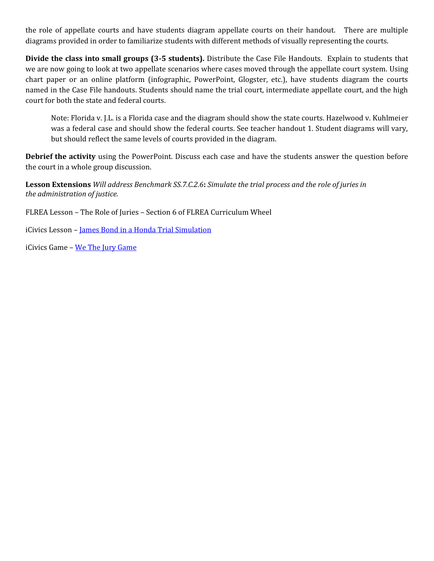the role of appellate courts and have students diagram appellate courts on their handout. There are multiple diagrams provided in order to familiarize students with different methods of visually representing the courts.

**Divide the class into small groups (3-5 students).** Distribute the Case File Handouts. Explain to students that we are now going to look at two appellate scenarios where cases moved through the appellate court system. Using chart paper or an online platform (infographic, PowerPoint, Glogster, etc.), have students diagram the courts named in the Case File handouts. Students should name the trial court, intermediate appellate court, and the high court for both the state and federal courts.

Note: Florida v. J.L. is a Florida case and the diagram should show the state courts. Hazelwood v. Kuhlmeier was a federal case and should show the federal courts. See teacher handout 1. Student diagrams will vary, but should reflect the same levels of courts provided in the diagram.

**Debrief the activity** using the PowerPoint. Discuss each case and have the students answer the question before the court in a whole group discussion.

**Lesson Extensions** *Will address Benchmark SS.7.C.2.6***:** *Simulate the trial process and the role of juries in the administration of justice.*

FLREA Lesson – The Role of Juries – Section 6 of FLREA Curriculum Wheel

iCivics Lesson - James Bond in a Honda Trial Simulation

iCivics Game – We The Jury Game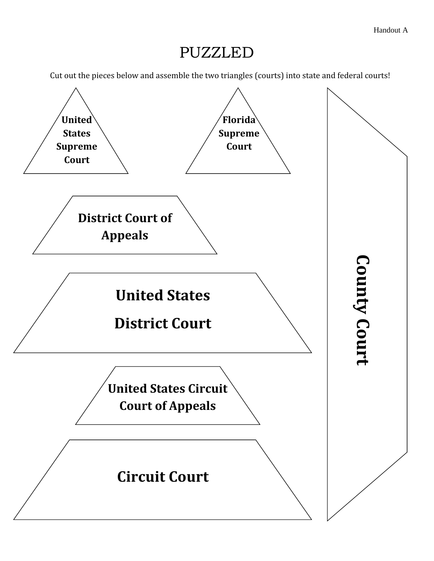## PUZZLED

Cut out the pieces below and assemble the two triangles (courts) into state and federal courts!

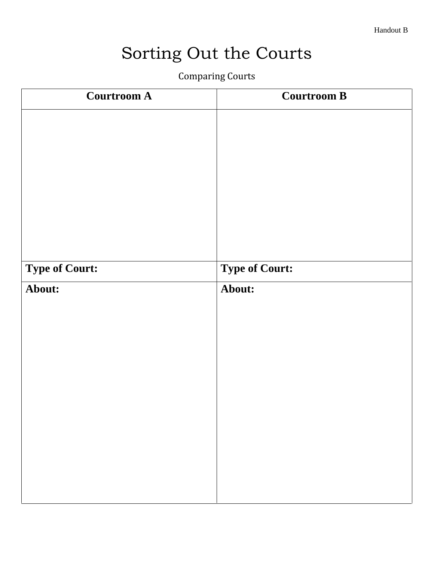Handout B

# Sorting Out the Courts

Comparing Courts

| <b>Courtroom A</b>    | <b>Courtroom B</b>    |
|-----------------------|-----------------------|
|                       |                       |
|                       |                       |
|                       |                       |
|                       |                       |
|                       |                       |
|                       |                       |
| <b>Type of Court:</b> | <b>Type of Court:</b> |
| About:                | About:                |
|                       |                       |
|                       |                       |
|                       |                       |
|                       |                       |
|                       |                       |
|                       |                       |
|                       |                       |
|                       |                       |
|                       |                       |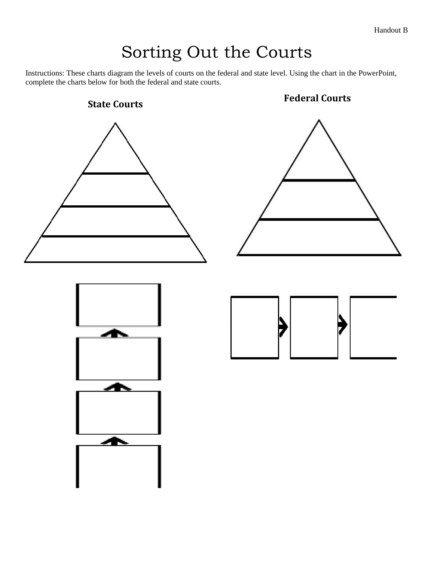Handout B

# Sorting Out the Courts

Instructions: These charts diagram the levels of courts on the federal and state level. Using the chart in the PowerPoint, complete the charts below for both the federal and state courts.

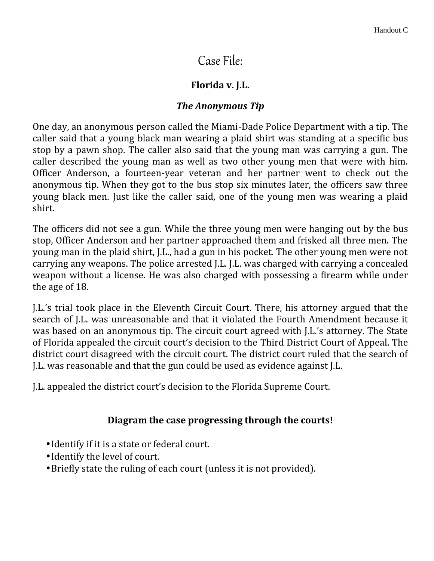## Case File:

### **Florida v. J.L.**

### *The Anonymous Tip*

One day, an anonymous person called the Miami-Dade Police Department with a tip. The caller said that a young black man wearing a plaid shirt was standing at a specific bus stop by a pawn shop. The caller also said that the young man was carrying a gun. The caller described the young man as well as two other young men that were with him. Officer Anderson, a fourteen-year veteran and her partner went to check out the anonymous tip. When they got to the bus stop six minutes later, the officers saw three young black men. Just like the caller said, one of the young men was wearing a plaid shirt.

The officers did not see a gun. While the three young men were hanging out by the bus stop, Officer Anderson and her partner approached them and frisked all three men. The young man in the plaid shirt, J.L., had a gun in his pocket. The other young men were not carrying any weapons. The police arrested J.L. J.L. was charged with carrying a concealed weapon without a license. He was also charged with possessing a firearm while under the age of 18.

J.L.'s trial took place in the Eleventh Circuit Court. There, his attorney argued that the search of J.L. was unreasonable and that it violated the Fourth Amendment because it was based on an anonymous tip. The circuit court agreed with J.L.'s attorney. The State of Florida appealed the circuit court's decision to the Third District Court of Appeal. The district court disagreed with the circuit court. The district court ruled that the search of J.L. was reasonable and that the gun could be used as evidence against J.L.

J.L. appealed the district court's decision to the Florida Supreme Court.

### **Diagram the case progressing through the courts!**

- Identify if it is a state or federal court.
- Identify the level of court.
- Briefly state the ruling of each court (unless it is not provided).